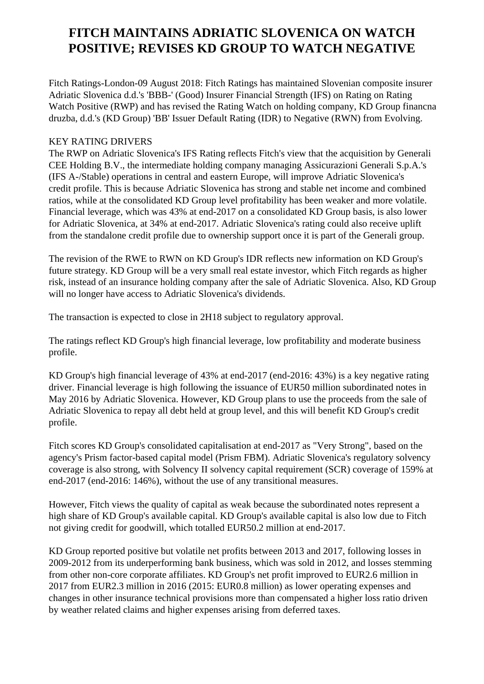## **FITCH MAINTAINS ADRIATIC SLOVENICA ON WATCH POSITIVE; REVISES KD GROUP TO WATCH NEGATIVE**

 Fitch Ratings-London-09 August 2018: Fitch Ratings has maintained Slovenian composite insurer Adriatic Slovenica d.d.'s 'BBB-' (Good) Insurer Financial Strength (IFS) on Rating on Rating Watch Positive (RWP) and has revised the Rating Watch on holding company, KD Group financna druzba, d.d.'s (KD Group) 'BB' Issuer Default Rating (IDR) to Negative (RWN) from Evolving.

## KEY RATING DRIVERS

 The RWP on Adriatic Slovenica's IFS Rating reflects Fitch's view that the acquisition by Generali CEE Holding B.V., the intermediate holding company managing Assicurazioni Generali S.p.A.'s (IFS A-/Stable) operations in central and eastern Europe, will improve Adriatic Slovenica's credit profile. This is because Adriatic Slovenica has strong and stable net income and combined ratios, while at the consolidated KD Group level profitability has been weaker and more volatile. Financial leverage, which was 43% at end-2017 on a consolidated KD Group basis, is also lower for Adriatic Slovenica, at 34% at end-2017. Adriatic Slovenica's rating could also receive uplift from the standalone credit profile due to ownership support once it is part of the Generali group.

 The revision of the RWE to RWN on KD Group's IDR reflects new information on KD Group's future strategy. KD Group will be a very small real estate investor, which Fitch regards as higher risk, instead of an insurance holding company after the sale of Adriatic Slovenica. Also, KD Group will no longer have access to Adriatic Slovenica's dividends.

The transaction is expected to close in 2H18 subject to regulatory approval.

 The ratings reflect KD Group's high financial leverage, low profitability and moderate business profile.

 KD Group's high financial leverage of 43% at end-2017 (end-2016: 43%) is a key negative rating driver. Financial leverage is high following the issuance of EUR50 million subordinated notes in May 2016 by Adriatic Slovenica. However, KD Group plans to use the proceeds from the sale of Adriatic Slovenica to repay all debt held at group level, and this will benefit KD Group's credit profile.

 Fitch scores KD Group's consolidated capitalisation at end-2017 as "Very Strong", based on the agency's Prism factor-based capital model (Prism FBM). Adriatic Slovenica's regulatory solvency coverage is also strong, with Solvency II solvency capital requirement (SCR) coverage of 159% at end-2017 (end-2016: 146%), without the use of any transitional measures.

 However, Fitch views the quality of capital as weak because the subordinated notes represent a high share of KD Group's available capital. KD Group's available capital is also low due to Fitch not giving credit for goodwill, which totalled EUR50.2 million at end-2017.

 KD Group reported positive but volatile net profits between 2013 and 2017, following losses in 2009-2012 from its underperforming bank business, which was sold in 2012, and losses stemming from other non-core corporate affiliates. KD Group's net profit improved to EUR2.6 million in 2017 from EUR2.3 million in 2016 (2015: EUR0.8 million) as lower operating expenses and changes in other insurance technical provisions more than compensated a higher loss ratio driven by weather related claims and higher expenses arising from deferred taxes.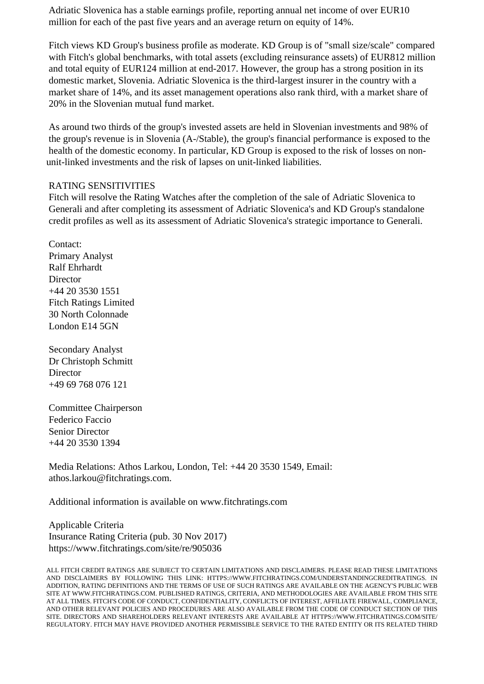Adriatic Slovenica has a stable earnings profile, reporting annual net income of over EUR10 million for each of the past five years and an average return on equity of 14%.

 Fitch views KD Group's business profile as moderate. KD Group is of "small size/scale" compared with Fitch's global benchmarks, with total assets (excluding reinsurance assets) of EUR812 million and total equity of EUR124 million at end-2017. However, the group has a strong position in its domestic market, Slovenia. Adriatic Slovenica is the third-largest insurer in the country with a market share of 14%, and its asset management operations also rank third, with a market share of 20% in the Slovenian mutual fund market.

 As around two thirds of the group's invested assets are held in Slovenian investments and 98% of the group's revenue is in Slovenia (A-/Stable), the group's financial performance is exposed to the health of the domestic economy. In particular, KD Group is exposed to the risk of losses on nonunit-linked investments and the risk of lapses on unit-linked liabilities.

## RATING SENSITIVITIES

 Fitch will resolve the Rating Watches after the completion of the sale of Adriatic Slovenica to Generali and after completing its assessment of Adriatic Slovenica's and KD Group's standalone credit profiles as well as its assessment of Adriatic Slovenica's strategic importance to Generali.

 Contact: Primary Analyst Ralf Ehrhardt **Director**  +44 20 3530 1551 Fitch Ratings Limited 30 North Colonnade London E14 5GN

 Secondary Analyst Dr Christoph Schmitt Director +49 69 768 076 121

 Committee Chairperson Federico Faccio Senior Director +44 20 3530 1394

 Media Relations: Athos Larkou, London, Tel: +44 20 3530 1549, Email: athos.larkou@fitchratings.com.

Additional information is available on www.fitchratings.com

 Applicable Criteria Insurance Rating Criteria (pub. 30 Nov 2017) https://www.fitchratings.com/site/re/905036

ALL FITCH CREDIT RATINGS ARE SUBJECT TO CERTAIN LIMITATIONS AND DISCLAIMERS. PLEASE READ THESE LIMITATIONS AND DISCLAIMERS BY FOLLOWING THIS LINK: HTTPS://WWW.FITCHRATINGS.COM/UNDERSTANDINGCREDITRATINGS. IN ADDITION, RATING DEFINITIONS AND THE TERMS OF USE OF SUCH RATINGS ARE AVAILABLE ON THE AGENCY'S PUBLIC WEB SITE AT WWW.FITCHRATINGS.COM. PUBLISHED RATINGS, CRITERIA, AND METHODOLOGIES ARE AVAILABLE FROM THIS SITE AT ALL TIMES. FITCH'S CODE OF CONDUCT, CONFIDENTIALITY, CONFLICTS OF INTEREST, AFFILIATE FIREWALL, COMPLIANCE, AND OTHER RELEVANT POLICIES AND PROCEDURES ARE ALSO AVAILABLE FROM THE CODE OF CONDUCT SECTION OF THIS SITE. DIRECTORS AND SHAREHOLDERS RELEVANT INTERESTS ARE AVAILABLE AT HTTPS://WWW.FITCHRATINGS.COM/SITE/ REGULATORY. FITCH MAY HAVE PROVIDED ANOTHER PERMISSIBLE SERVICE TO THE RATED ENTITY OR ITS RELATED THIRD